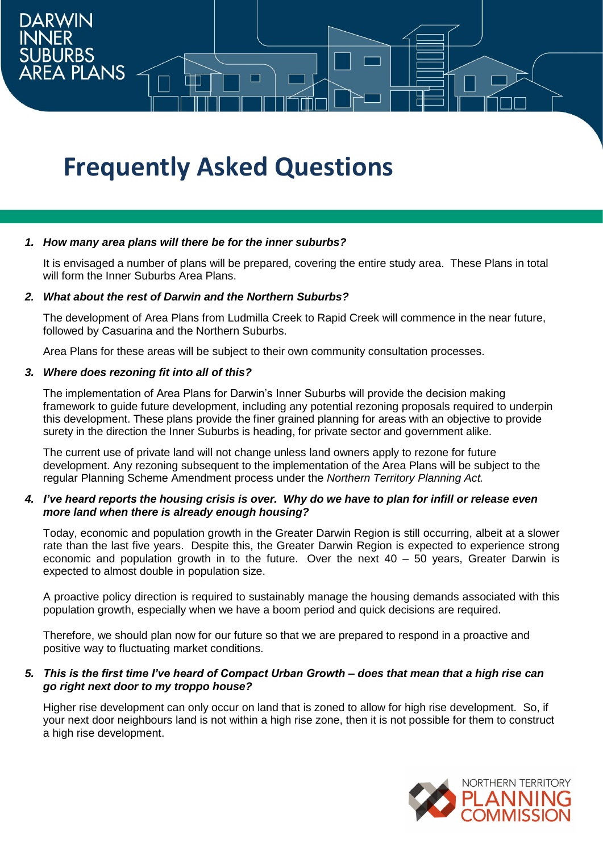# **Frequently Asked Questions**

## *1. How many area plans will there be for the inner suburbs?*

It is envisaged a number of plans will be prepared, covering the entire study area. These Plans in total will form the Inner Suburbs Area Plans.

# *2. What about the rest of Darwin and the Northern Suburbs?*

The development of Area Plans from Ludmilla Creek to Rapid Creek will commence in the near future, followed by Casuarina and the Northern Suburbs.

Area Plans for these areas will be subject to their own community consultation processes.

## *3. Where does rezoning fit into all of this?*

**DARWIN** 

**EA PLANS** 

The implementation of Area Plans for Darwin's Inner Suburbs will provide the decision making framework to guide future development, including any potential rezoning proposals required to underpin this development. These plans provide the finer grained planning for areas with an objective to provide surety in the direction the Inner Suburbs is heading, for private sector and government alike.

The current use of private land will not change unless land owners apply to rezone for future development. Any rezoning subsequent to the implementation of the Area Plans will be subject to the regular Planning Scheme Amendment process under the *Northern Territory Planning Act.*

## *4. I've heard reports the housing crisis is over. Why do we have to plan for infill or release even more land when there is already enough housing?*

Today, economic and population growth in the Greater Darwin Region is still occurring, albeit at a slower rate than the last five years. Despite this, the Greater Darwin Region is expected to experience strong economic and population growth in to the future. Over the next 40 – 50 years, Greater Darwin is expected to almost double in population size.

A proactive policy direction is required to sustainably manage the housing demands associated with this population growth, especially when we have a boom period and quick decisions are required.

Therefore, we should plan now for our future so that we are prepared to respond in a proactive and positive way to fluctuating market conditions.

#### *5. This is the first time I've heard of Compact Urban Growth – does that mean that a high rise can go right next door to my troppo house?*

Higher rise development can only occur on land that is zoned to allow for high rise development. So, if your next door neighbours land is not within a high rise zone, then it is not possible for them to construct a high rise development.